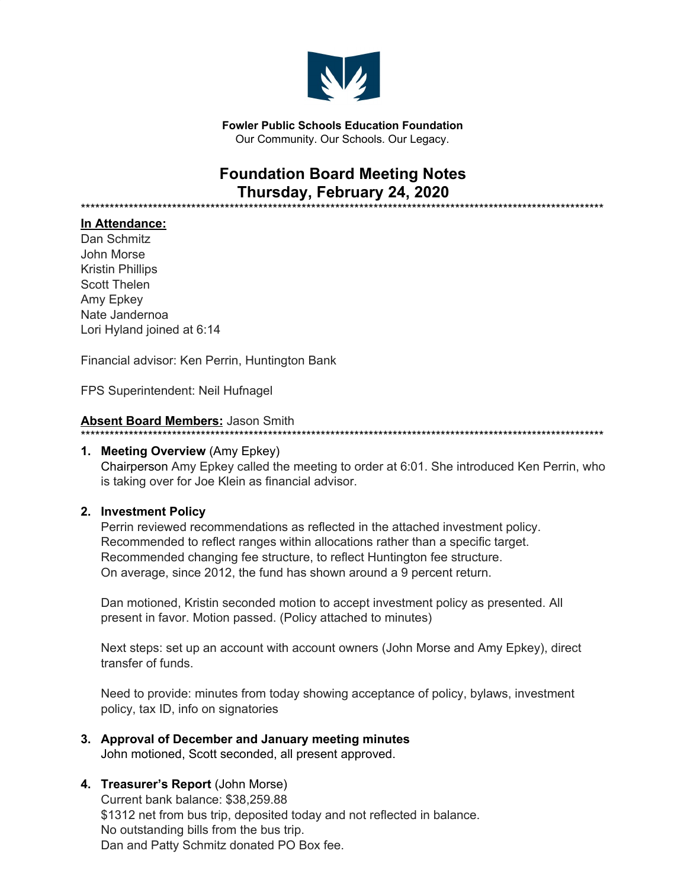

**Fowler Public Schools Education Foundation** Our Community. Our Schools. Our Legacy.

# **Foundation Board Meeting Notes Thursday, February 24, 2020**

\*\*\*\*\*\*\*\*\*\*\*\*\*\*\*\*\*\*\*\*\*\*\*\*\*\*\*\*\*\*\*\*\*\*\*\*\*\*\*\*\*\*\*\*\*\*\*\*\*\*\*\*\*\*\*\*\*\*\*\*\*\*\*\*\*\*\*\*\*\*\*\*\*\*\*\*\*\*\*\*\*\*\*\*\*\*\*\*\*\*\*\*\*\*\*\*\*\*\*\*\*\*\*\*\*\*\*\*\*

#### **In Attendance:**

Dan Schmitz John Morse Kristin Phillips Scott Thelen Amy Epkey Nate Jandernoa Lori Hyland joined at 6:14

Financial advisor: Ken Perrin, Huntington Bank

FPS Superintendent: Neil Hufnagel

#### **Absent Board Members:** Jason Smith

#### \*\*\*\*\*\*\*\*\*\*\*\*\*\*\*\*\*\*\*\*\*\*\*\*\*\*\*\*\*\*\*\*\*\*\*\*\*\*\*\*\*\*\*\*\*\*\*\*\*\*\*\*\*\*\*\*\*\*\*\*\*\*\*\*\*\*\*\*\*\*\*\*\*\*\*\*\*\*\*\*\*\*\*\*\*\*\*\*\*\*\*\*\*\*\*\*\*\*\*\*\*\*\*\*\*\*\*\*\*

#### **1. Meeting Overview** (Amy Epkey) Chairperson Amy Epkey called the meeting to order at 6:01. She introduced Ken Perrin, who is taking over for Joe Klein as financial advisor.

#### **2. Investment Policy**

Perrin reviewed recommendations as reflected in the attached investment policy. Recommended to reflect ranges within allocations rather than a specific target. Recommended changing fee structure, to reflect Huntington fee structure. On average, since 2012, the fund has shown around a 9 percent return.

Dan motioned, Kristin seconded motion to accept investment policy as presented. All present in favor. Motion passed. (Policy attached to minutes)

Next steps: set up an account with account owners (John Morse and Amy Epkey), direct transfer of funds.

Need to provide: minutes from today showing acceptance of policy, bylaws, investment policy, tax ID, info on signatories

**3. Approval of December and January meeting minutes** John motioned, Scott seconded, all present approved.

#### **4. Treasurer's Report** (John Morse)

Current bank balance: \$38,259.88 \$1312 net from bus trip, deposited today and not reflected in balance. No outstanding bills from the bus trip. Dan and Patty Schmitz donated PO Box fee.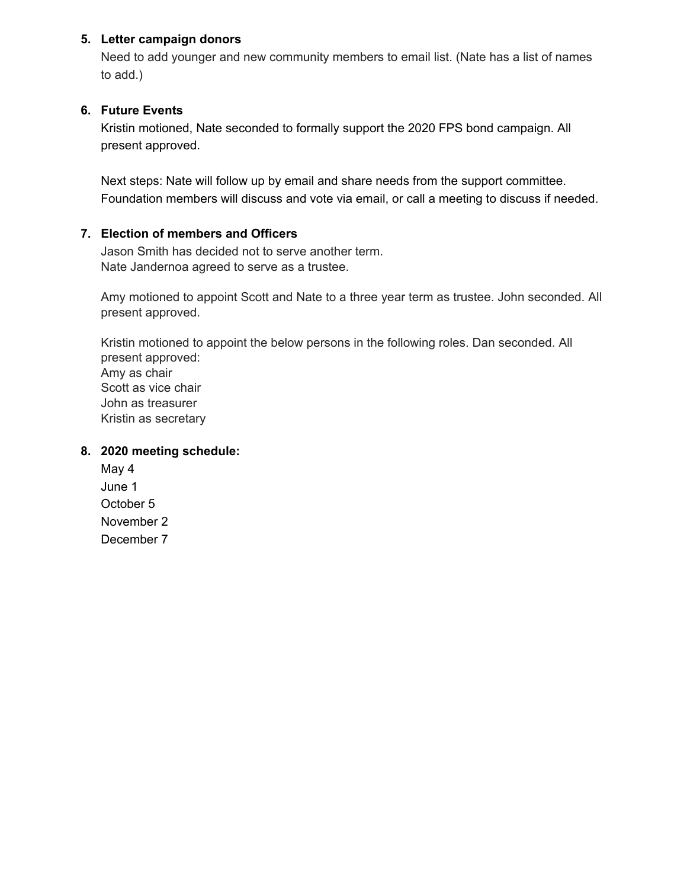#### **5. Letter campaign donors**

Need to add younger and new community members to email list. (Nate has a list of names to add.)

# **6. Future Events**

Kristin motioned, Nate seconded to formally support the 2020 FPS bond campaign. All present approved.

Next steps: Nate will follow up by email and share needs from the support committee. Foundation members will discuss and vote via email, or call a meeting to discuss if needed.

#### **7. Election of members and Officers**

Jason Smith has decided not to serve another term. Nate Jandernoa agreed to serve as a trustee.

Amy motioned to appoint Scott and Nate to a three year term as trustee. John seconded. All present approved.

Kristin motioned to appoint the below persons in the following roles. Dan seconded. All present approved: Amy as chair Scott as vice chair John as treasurer Kristin as secretary

# **8. 2020 meeting schedule:**

May 4 June 1 October 5 November 2 December 7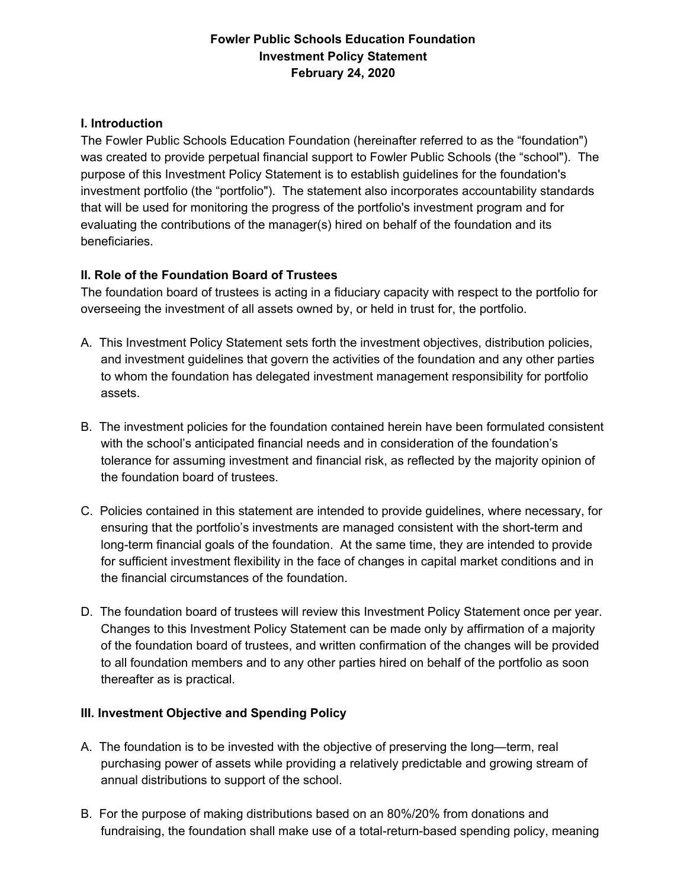# **Fowler Public Schools Education Foundation Investment Policy Statement February 24, 2020**

#### **I. Introduction**

The Fowler Public Schools Education Foundation (hereinafter referred to as the "foundation") was created to provide perpetual financial support to Fowler Public Schools (the "school"). The purpose of this Investment Policy Statement is to establish guidelines for the foundation's investment portfolio (the "portfolio"). The statement also incorporates accountability standards that will be used for monitoring the progress of the portfolio's investment program and for evaluating the contributions of the manager(s) hired on behalf of the foundation and its beneficiaries.

# **II. Role of the Foundation Board of Trustees**

The foundation board of trustees is acting in a fiduciary capacity with respect to the portfolio for overseeing the investment of all assets owned by, or held in trust for, the portfolio.

- A. This Investment Policy Statement sets forth the investment objectives, distribution policies, and investment guidelines that govern the activities of the foundation and any other parties to whom the foundation has delegated investment management responsibility for portfolio assets.
- B. The investment policies for the foundation contained herein have been formulated consistent with the school's anticipated financial needs and in consideration of the foundation's tolerance for assuming investment and financial risk, as reflected by the majority opinion of the foundation board of trustees.
- C. Policies contained in this statement are intended to provide guidelines, where necessary, for ensuring that the portfolio's investments are managed consistent with the short-term and long-term financial goals of the foundation. At the same time, they are intended to provide for sufficient investment flexibility in the face of changes in capital market conditions and in the financial circumstances of the foundation.
- D. The foundation board of trustees will review this Investment Policy Statement once per year. Changes to this Investment Policy Statement can be made only by affirmation of a majority of the foundation board of trustees, and written confirmation of the changes will be provided to all foundation members and to any other parties hired on behalf of the portfolio as soon thereafter as is practical.

# **III. Investment Objective and Spending Policy**

- A. The foundation is to be invested with the objective of preserving the long—term, real purchasing power of assets while providing a relatively predictable and growing stream of annual distributions to support of the school.
- B. For the purpose of making distributions based on an 80%/20% from donations and fundraising, the foundation shall make use of a total-return-based spending policy, meaning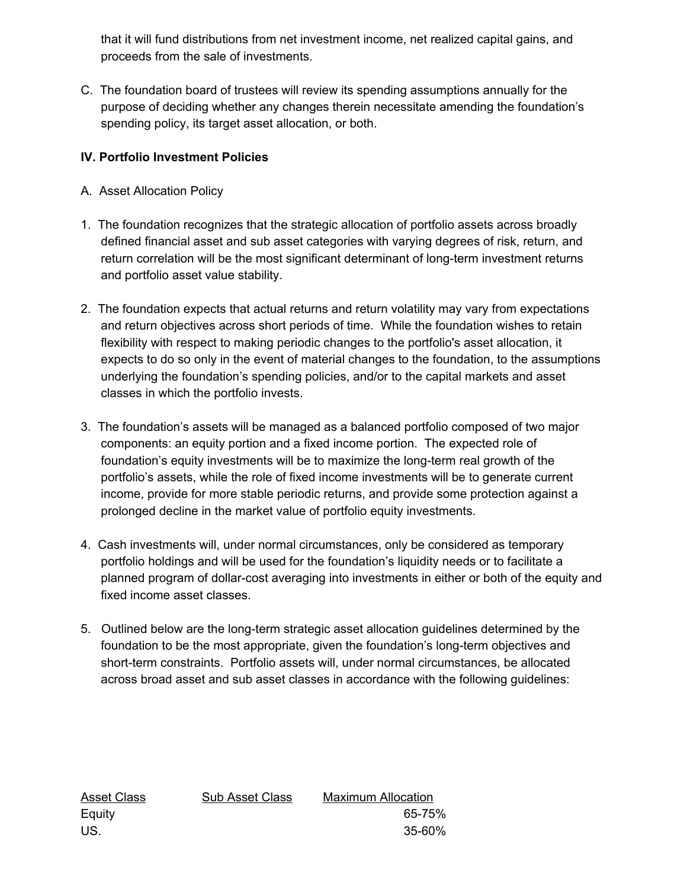that it will fund distributions from net investment income, net realized capital gains, and proceeds from the sale of investments.

C. The foundation board of trustees will review its spending assumptions annually for the purpose of deciding whether any changes therein necessitate amending the foundation's spending policy, its target asset allocation, or both.

# **IV. Portfolio Investment Policies**

- A. Asset Allocation Policy
- 1. The foundation recognizes that the strategic allocation of portfolio assets across broadly defined financial asset and sub asset categories with varying degrees of risk, return, and return correlation will be the most significant determinant of long-term investment returns and portfolio asset value stability.
- 2. The foundation expects that actual returns and return volatility may vary from expectations and return objectives across short periods of time. While the foundation wishes to retain flexibility with respect to making periodic changes to the portfolio's asset allocation, it expects to do so only in the event of material changes to the foundation, to the assumptions underlying the foundation's spending policies, and/or to the capital markets and asset classes in which the portfolio invests.
- 3. The foundation's assets will be managed as a balanced portfolio composed of two major components: an equity portion and a fixed income portion. The expected role of foundation's equity investments will be to maximize the long-term real growth of the portfolio's assets, while the role of fixed income investments will be to generate current income, provide for more stable periodic returns, and provide some protection against a prolonged decline in the market value of portfolio equity investments.
- 4. Cash investments will, under normal circumstances, only be considered as temporary portfolio holdings and will be used for the foundation's liquidity needs or to facilitate a planned program of dollar-cost averaging into investments in either or both of the equity and fixed income asset classes.
- 5. Outlined below are the long-term strategic asset allocation guidelines determined by the foundation to be the most appropriate, given the foundation's long-term objectives and short-term constraints. Portfolio assets will, under normal circumstances, be allocated across broad asset and sub asset classes in accordance with the following guidelines:

| Sub Asset Class | <b>Maximum Allocation</b> |
|-----------------|---------------------------|
|                 | 65-75%                    |
|                 | 35-60%                    |
|                 |                           |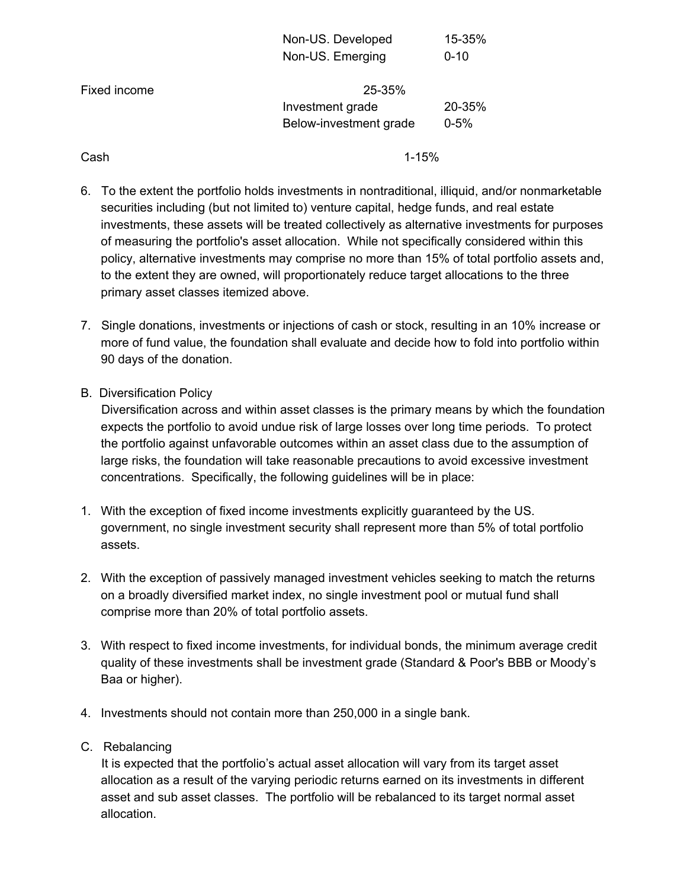|              | Non-US. Developed      | 15-35%   |  |
|--------------|------------------------|----------|--|
|              | Non-US. Emerging       | $0 - 10$ |  |
| Fixed income | 25-35%                 |          |  |
|              | Investment grade       | 20-35%   |  |
|              | Below-investment grade | $0 - 5%$ |  |
|              |                        |          |  |

Cash 1-15%

- 6. To the extent the portfolio holds investments in nontraditional, illiquid, and/or nonmarketable securities including (but not limited to) venture capital, hedge funds, and real estate investments, these assets will be treated collectively as alternative investments for purposes of measuring the portfolio's asset allocation. While not specifically considered within this policy, alternative investments may comprise no more than 15% of total portfolio assets and, to the extent they are owned, will proportionately reduce target allocations to the three primary asset classes itemized above.
- 7. Single donations, investments or injections of cash or stock, resulting in an 10% increase or more of fund value, the foundation shall evaluate and decide how to fold into portfolio within 90 days of the donation.
- B. Diversification Policy

Diversification across and within asset classes is the primary means by which the foundation expects the portfolio to avoid undue risk of large losses over long time periods. To protect the portfolio against unfavorable outcomes within an asset class due to the assumption of large risks, the foundation will take reasonable precautions to avoid excessive investment concentrations. Specifically, the following guidelines will be in place:

- 1. With the exception of fixed income investments explicitly guaranteed by the US. government, no single investment security shall represent more than 5% of total portfolio assets.
- 2. With the exception of passively managed investment vehicles seeking to match the returns on a broadly diversified market index, no single investment pool or mutual fund shall comprise more than 20% of total portfolio assets.
- 3. With respect to fixed income investments, for individual bonds, the minimum average credit quality of these investments shall be investment grade (Standard & Poor's BBB or Moody's Baa or higher).
- 4. Investments should not contain more than 250,000 in a single bank.
- C. Rebalancing

It is expected that the portfolio's actual asset allocation will vary from its target asset allocation as a result of the varying periodic returns earned on its investments in different asset and sub asset classes. The portfolio will be rebalanced to its target normal asset allocation.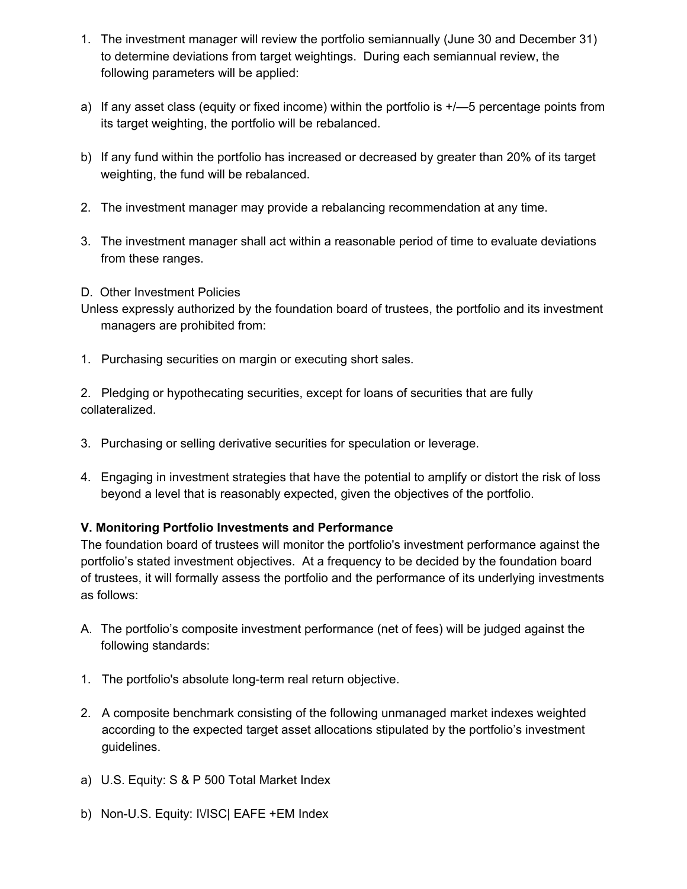- 1. The investment manager will review the portfolio semiannually (June 30 and December 31) to determine deviations from target weightings. During each semiannual review, the following parameters will be applied:
- a) If any asset class (equity or fixed income) within the portfolio is  $+/-5$  percentage points from its target weighting, the portfolio will be rebalanced.
- b) If any fund within the portfolio has increased or decreased by greater than 20% of its target weighting, the fund will be rebalanced.
- 2. The investment manager may provide a rebalancing recommendation at any time.
- 3. The investment manager shall act within a reasonable period of time to evaluate deviations from these ranges.
- D. Other Investment Policies
- Unless expressly authorized by the foundation board of trustees, the portfolio and its investment managers are prohibited from:
- 1. Purchasing securities on margin or executing short sales.

2. Pledging or hypothecating securities, except for loans of securities that are fully collateralized.

- 3. Purchasing or selling derivative securities for speculation or leverage.
- 4. Engaging in investment strategies that have the potential to amplify or distort the risk of loss beyond a level that is reasonably expected, given the objectives of the portfolio.

# **V. Monitoring Portfolio Investments and Performance**

The foundation board of trustees will monitor the portfolio's investment performance against the portfolio's stated investment objectives. At a frequency to be decided by the foundation board of trustees, it will formally assess the portfolio and the performance of its underlying investments as follows:

- A. The portfolio's composite investment performance (net of fees) will be judged against the following standards:
- 1. The portfolio's absolute long-term real return objective.
- 2. A composite benchmark consisting of the following unmanaged market indexes weighted according to the expected target asset allocations stipulated by the portfolio's investment guidelines.
- a) U.S. Equity: S & P 500 Total Market Index
- b) Non-U.S. Equity: IVISC| EAFE +EM Index